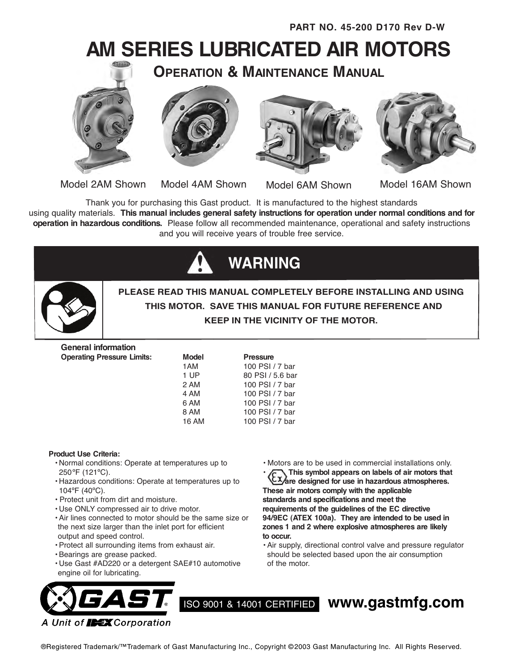# **AM SERIES LUBRICATED AIR MOTORS**

**OPERATION & MAINTENANCE MANUAL**









Model 2AM Shown Model 4AM Shown

Model 6AM Shown Model 16AM Shown

Thank you for purchasing this Gast product. It is manufactured to the highest standards using quality materials. **This manual includes general safety instructions for operation under normal conditions and for operation in hazardous conditions.** Please follow all recommended maintenance, operational and safety instructions and you will receive years of trouble free service.





**PLEASE READ THIS MANUAL COMPLETELY BEFORE INSTALLING AND USING THIS MOTOR. SAVE THIS MANUAL FOR FUTURE REFERENCE AND KEEP IN THE VICINITY OF THE MOTOR.**

#### **General information Operating Pressure Limits:**

| <b>Model</b> | <b>Pressure</b>  |
|--------------|------------------|
| 1AM          | 100 PSI / 7 bar  |
| 1 UP         | 80 PSI / 5.6 bar |
| 2 AM         | 100 PSI / 7 bar  |
| 4 AM         | 100 PSI / 7 bar  |
| 6 AM         | 100 PSI / 7 bar  |
| 8 AM         | 100 PSI / 7 bar  |
| <b>16 AM</b> | 100 PSI / 7 bar  |
|              |                  |

## **Product Use Criteria:**

- Normal conditions: Operate at temperatures up to 250ºF (121ºC).
- Hazardous conditions: Operate at temperatures up to 104ºF (40ºC).
- Protect unit from dirt and moisture.
- Use ONLY compressed air to drive motor.
- Air lines connected to motor should be the same size or the next size larger than the inlet port for efficient output and speed control.
- Protect all surrounding items from exhaust air.
- Bearings are grease packed.
- Use Gast #AD220 or a detergent SAE#10 automotive engine oil for lubricating.



• Motors are to be used in commercial installations only.<br>•  $\sqrt{\phantom{a}}$  This symbol appears on labels of air motors that

• **This symbol appears on labels of air motors that are designed for use in hazardous atmospheres. These air motors comply with the applicable standards and specifications and meet the requirements of the guidelines of the EC directive 94/9EC (ATEX 100a). They are intended to be used in zones 1 and 2 where explosive atmospheres are likely to occur.**

• Air supply, directional control valve and pressure regulator should be selected based upon the air consumption of the motor.





®Registered Trademark/™Trademark of Gast Manufacturing Inc., Copyright © 2003 Gast Manufacturing Inc. All Rights Reserved.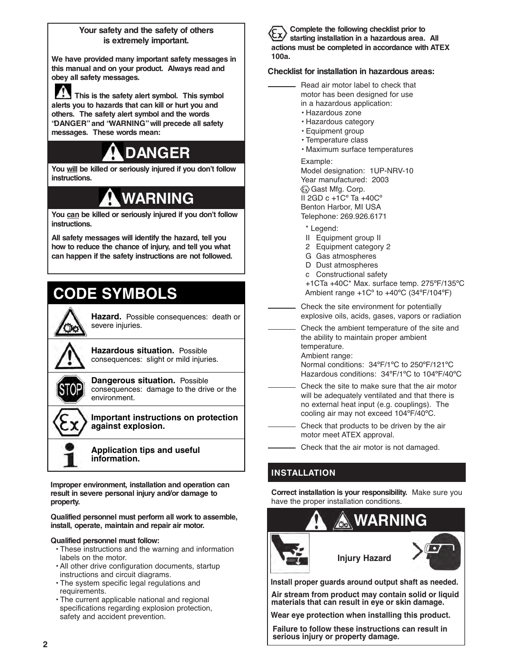### **Your safety and the safety of others is extremely important.**

**We have provided many important safety messages in this manual and on your product. Always read and obey all safety messages.**

**This is the safety alert symbol. This symbol alerts you to hazards that can kill or hurt you and others. The safety alert symbol and the words "DANGER"and "WARNING"will precede all safety messages. These words mean:**

# **DANGER**

**You will be killed or seriously injured if you don't follow instructions.**

# **WARNING**

**You can be killed or seriously injured if you don't follow instructions.**

**All safety messages will identify the hazard, tell you how to reduce the chance of injury, and tell you what can happen if the safety instructions are not followed.**

# **CODE SYMBOLS**

**Hazard.** Possible consequences: death or severe injuries.



**Hazardous situation.** Possible consequences: slight or mild injuries.



**Important instructions on protection against explosion.**

**Application tips and useful information.**

**Improper environment, installation and operation can result in severe personal injury and/or damage to property.**

**Qualified personnel must perform all work to assemble, install, operate, maintain and repair air motor.**

#### **Qualified personnel must follow:**

- These instructions and the warning and information labels on the motor.
- All other drive configuration documents, startup instructions and circuit diagrams.
- The system specific legal regulations and requirements.
- The current applicable national and regional specifications regarding explosion protection, safety and accident prevention.



**Complete the following checklist prior to starting installation in a hazardous area. All actions must be completed in accordance with ATEX 100a.**

## **Checklist for installation in hazardous areas:**

| Read air motor label to check that<br>motor has been designed for use<br>in a hazardous application:<br>• Hazardous zone<br>• Hazardous category<br>· Equipment group<br>• Temperature class<br>· Maximum surface temperatures |
|--------------------------------------------------------------------------------------------------------------------------------------------------------------------------------------------------------------------------------|
| Example:<br>Model designation: 1UP-NRV-10<br>Year manufactured: 2003<br>& Gast Mfg. Corp.<br>Il 2GD c +1C° Ta +40C°<br>Benton Harbor, MI USA<br>Telephone: 269.926.6171                                                        |
| * Legend:<br>II Equipment group II<br>2 Equipment category 2<br>G Gas atmospheres<br>D Dust atmospheres<br>c Constructional safety<br>+1CTa +40C* Max. surface temp. 275°F/135°C<br>Ambient range +1C° to +40°C (34°F/104°F)   |
| Check the site environment for potentially<br>explosive oils, acids, gases, vapors or radiation                                                                                                                                |
| Check the ambient temperature of the site and<br>the ability to maintain proper ambient<br>temperature.<br>Ambient range:<br>Normal conditions: 34°F/1°C to 250°F/121°C<br>Hazardous conditions: 34°F/1°C to 104°F/40°C        |
| Check the site to make sure that the air motor<br>will be adequately ventilated and that there is<br>no external heat input (e.g. couplings). The<br>cooling air may not exceed 104°F/40°C.                                    |
| Check that products to be driven by the air<br>motor meet ATEX approval.                                                                                                                                                       |
|                                                                                                                                                                                                                                |

Check that the air motor is not damaged.

# **INSTALLATION**

**Correct installation is your responsibility.** Make sure you have the proper installation conditions.



**Install proper guards around output shaft as needed.**

**Air stream from product may contain solid or liquid materials that can result in eye or skin damage.**

**Wear eye protection when installing this product.**

**Failure to follow these instructions can result in serious injury or property damage.**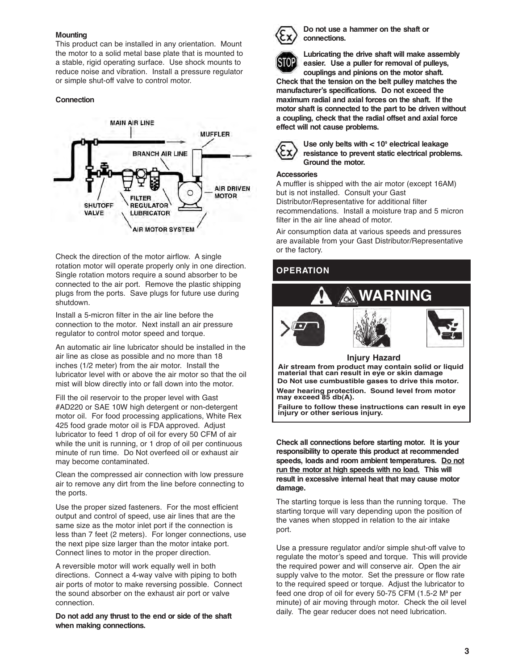#### **Mounting**

This product can be installed in any orientation. Mount the motor to a solid metal base plate that is mounted to a stable, rigid operating surface. Use shock mounts to reduce noise and vibration. Install a pressure regulator or simple shut-off valve to control motor.

#### **Connection**



Check the direction of the motor airflow. A single rotation motor will operate properly only in one direction. Single rotation motors require a sound absorber to be connected to the air port. Remove the plastic shipping plugs from the ports. Save plugs for future use during shutdown.

Install a 5-micron filter in the air line before the connection to the motor. Next install an air pressure regulator to control motor speed and torque.

An automatic air line lubricator should be installed in the air line as close as possible and no more than 18 inches (1/2 meter) from the air motor. Install the lubricator level with or above the air motor so that the oil mist will blow directly into or fall down into the motor.

Fill the oil reservoir to the proper level with Gast #AD220 or SAE 10W high detergent or non-detergent motor oil. For food processing applications, White Rex 425 food grade motor oil is FDA approved. Adjust lubricator to feed 1 drop of oil for every 50 CFM of air while the unit is running, or 1 drop of oil per continuous minute of run time. Do Not overfeed oil or exhaust air may become contaminated.

Clean the compressed air connection with low pressure air to remove any dirt from the line before connecting to the ports.

Use the proper sized fasteners. For the most efficient output and control of speed, use air lines that are the same size as the motor inlet port if the connection is less than 7 feet (2 meters). For longer connections, use the next pipe size larger than the motor intake port. Connect lines to motor in the proper direction.

A reversible motor will work equally well in both directions. Connect a 4-way valve with piping to both air ports of motor to make reversing possible. Connect the sound absorber on the exhaust air port or valve connection.

**Do not add any thrust to the end or side of the shaft when making connections.**



**Do not use a hammer on the shaft or connections.**



**Lubricating the drive shaft will make assembly easier. Use a puller for removal of pulleys, couplings and pinions on the motor shaft. Check that the tension on the belt pulley matches the manufacturer's specifications. Do not exceed the maximum radial and axial forces on the shaft. If the motor shaft is connected to the part to be driven without a coupling, check that the radial offset and axial force effect will not cause problems.**



**Use only belts with < 109 electrical leakage resistance to prevent static electrical problems. Ground the motor.**

#### **Accessories**

A muffler is shipped with the air motor (except 16AM) but is not installed. Consult your Gast Distributor/Representative for additional filter recommendations. Install a moisture trap and 5 micron filter in the air line ahead of motor.

Air consumption data at various speeds and pressures are available from your Gast Distributor/Representative or the factory.



**Check all connections before starting motor. It is your responsibility to operate this product at recommended speeds, loads and room ambient temperatures. Do not run the motor at high speeds with no load. This will result in excessive internal heat that may cause motor damage.**

The starting torque is less than the running torque. The starting torque will vary depending upon the position of the vanes when stopped in relation to the air intake port.

Use a pressure regulator and/or simple shut-off valve to regulate the motor's speed and torque. This will provide the required power and will conserve air. Open the air supply valve to the motor. Set the pressure or flow rate to the required speed or torque. Adjust the lubricator to feed one drop of oil for every 50-75 CFM (1.5-2 M**<sup>3</sup>** per minute) of air moving through motor. Check the oil level daily. The gear reducer does not need lubrication.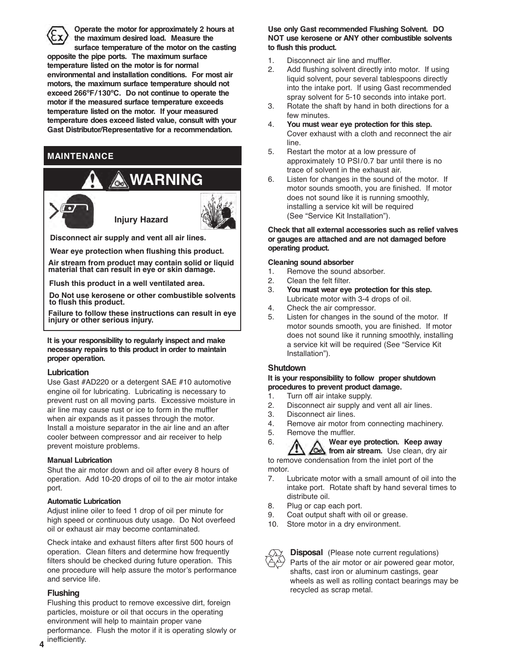

**Operate the motor for approximately 2 hours at the maximum desired load. Measure the**

**surface temperature of the motor on the casting opposite the pipe ports. The maximum surface temperature listed on the motor is for normal environmental and installation conditions. For most air motors, the maximum surface temperature should not exceed 266ºF/130ºC. Do not continue to operate the motor if the measured surface temperature exceeds temperature listed on the motor. If your measured temperature does exceed listed value, consult with your Gast Distributor/Representative for a recommendation.**

# **MAINTENANCE**



**Wear eye protection when flushing this product.**

**Air stream from product may contain solid or liquid material that can result in eye or skin damage.**

**Flush this product in a well ventilated area.**

**Do Not use kerosene or other combustible solvents to flush this product.**

**Failure to follow these instructions can result in eye injury or other serious injury.**

**It is your responsibility to regularly inspect and make necessary repairs to this product in order to maintain proper operation.**

#### **Lubrication**

Use Gast #AD220 or a detergent SAE #10 automotive engine oil for lubricating. Lubricating is necessary to prevent rust on all moving parts. Excessive moisture in air line may cause rust or ice to form in the muffler when air expands as it passes through the motor. Install a moisture separator in the air line and an after cooler between compressor and air receiver to help prevent moisture problems.

#### **Manual Lubrication**

Shut the air motor down and oil after every 8 hours of operation. Add 10-20 drops of oil to the air motor intake port.

#### **Automatic Lubrication**

Adjust inline oiler to feed 1 drop of oil per minute for high speed or continuous duty usage. Do Not overfeed oil or exhaust air may become contaminated.

Check intake and exhaust filters after first 500 hours of operation. Clean filters and determine how frequently filters should be checked during future operation. This one procedure will help assure the motor's performance and service life.

#### **Flushing**

Flushing this product to remove excessive dirt, foreign particles, moisture or oil that occurs in the operating environment will help to maintain proper vane performance. Flush the motor if it is operating slowly or inefficiently.

**Use only Gast recommended Flushing Solvent. DO NOT use kerosene or ANY other combustible solvents to flush this product.**

- 1. Disconnect air line and muffler.
- 2. Add flushing solvent directly into motor. If using liquid solvent, pour several tablespoons directly into the intake port. If using Gast recommended spray solvent for 5-10 seconds into intake port.
- 3. Rotate the shaft by hand in both directions for a few minutes.
- 4. **You must wear eye protection for this step.** Cover exhaust with a cloth and reconnect the air line.
- 5. Restart the motor at a low pressure of approximately 10 PSI/0.7 bar until there is no trace of solvent in the exhaust air.
- 6. Listen for changes in the sound of the motor. If motor sounds smooth, you are finished. If motor does not sound like it is running smoothly, installing a service kit will be required (See "Service Kit Installation").

#### **Check that all external accessories such as relief valves or gauges are attached and are not damaged before operating product.**

#### **Cleaning sound absorber**

- 1. Remove the sound absorber.<br>2. Clean the felt filter.
- Clean the felt filter.
- 3. **You must wear eye protection for this step.** Lubricate motor with 3-4 drops of oil.
- 4. Check the air compressor.
- 5. Listen for changes in the sound of the motor. If motor sounds smooth, you are finished. If motor does not sound like it running smoothly, installing a service kit will be required (See "Service Kit Installation").

#### **Shutdown**

#### **It is your responsibility to follow proper shutdown procedures to prevent product damage.**

- 
- 1. Turn off air intake supply.<br>2. Disconnect air supply and 2. Disconnect air supply and vent all air lines.<br>3. Disconnect air lines.
- 
- 3. Disconnect air lines.<br>4. Remove air motor fro 4. Remove air motor from connecting machinery.<br>5. Remove the muffler.
- 5. Remove the muffler.
- 6. **Wear eye protection. Keep away**

**from air stream.** Use clean, dry air to remove condensation from the inlet port of the

motor.

- 7. Lubricate motor with a small amount of oil into the intake port. Rotate shaft by hand several times to distribute oil.
- 8. Plug or cap each port.
- 9. Coat output shaft with oil or grease.
- 10. Store motor in a dry environment.



**Disposal** (Please note current regulations)

Parts of the air motor or air powered gear motor, shafts, cast iron or aluminum castings, gear wheels as well as rolling contact bearings may be recycled as scrap metal.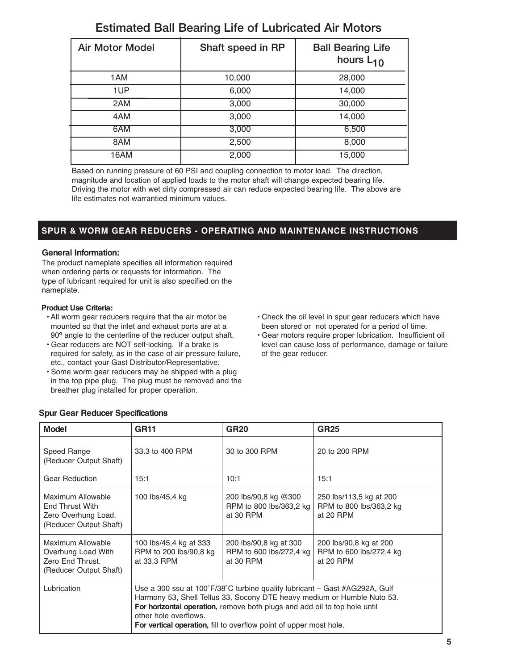# Estimated Ball Bearing Life of Lubricated Air Motors

| <b>Air Motor Model</b> | Shaft speed in RP | <b>Ball Bearing Life</b><br>hours $L_{10}$ |
|------------------------|-------------------|--------------------------------------------|
| 1AM                    | 10,000            | 28,000                                     |
| 1UP                    | 6,000             | 14,000                                     |
| 2AM                    | 3,000             | 30,000                                     |
| 4AM                    | 3,000             | 14,000                                     |
| 6AM                    | 3,000             | 6,500                                      |
| 8AM                    | 2,500             | 8,000                                      |
| 16AM                   | 2,000             | 15,000                                     |

Based on running pressure of 60 PSI and coupling connection to motor load. The direction, magnitude and location of applied loads to the motor shaft will change expected bearing life. Driving the motor with wet dirty compressed air can reduce expected bearing life. The above are life estimates not warrantied minimum values.

# **SPUR & WORM GEAR REDUCERS - OPERATING AND MAINTENANCE INSTRUCTIONS**

#### **General Information:**

The product nameplate specifies all information required when ordering parts or requests for information. The type of lubricant required for unit is also specified on the nameplate.

#### **Product Use Criteria:**

- All worm gear reducers require that the air motor be mounted so that the inlet and exhaust ports are at a 90º angle to the centerline of the reducer output shaft.
- Gear reducers are NOT self-locking. If a brake is required for safety, as in the case of air pressure failure, etc., contact your Gast Distributor/Representative.
- Some worm gear reducers may be shipped with a plug in the top pipe plug. The plug must be removed and the breather plug installed for proper operation.
- Check the oil level in spur gear reducers which have been stored or not operated for a period of time.
- Gear motors require proper lubrication. Insufficient oil level can cause loss of performance, damage or failure of the gear reducer.

| <b>Model</b>                                                                          | <b>GR11</b>                                                                                                                                                                                                                                                                                                                                | <b>GR20</b>                                                    | <b>GR25</b>                                                     |  |  |  |  |
|---------------------------------------------------------------------------------------|--------------------------------------------------------------------------------------------------------------------------------------------------------------------------------------------------------------------------------------------------------------------------------------------------------------------------------------------|----------------------------------------------------------------|-----------------------------------------------------------------|--|--|--|--|
| Speed Range<br>(Reducer Output Shaft)                                                 | 33.3 to 400 RPM                                                                                                                                                                                                                                                                                                                            | 30 to 300 RPM                                                  | 20 to 200 RPM                                                   |  |  |  |  |
| <b>Gear Reduction</b>                                                                 | 15:1                                                                                                                                                                                                                                                                                                                                       | 10:1                                                           | 15:1                                                            |  |  |  |  |
| Maximum Allowable<br>End Thrust With<br>Zero Overhung Load.<br>(Reducer Output Shaft) | 100 lbs/45,4 kg                                                                                                                                                                                                                                                                                                                            | 200 lbs/90,8 kg @300<br>RPM to 800 lbs/363,2 kg<br>at 30 RPM   | 250 lbs/113,5 kg at 200<br>RPM to 800 lbs/363,2 kg<br>at 20 RPM |  |  |  |  |
| Maximum Allowable<br>Overhung Load With<br>Zero End Thrust.<br>(Reducer Output Shaft) | 100 lbs/45,4 kg at 333<br>RPM to 200 lbs/90,8 kg<br>at 33.3 RPM                                                                                                                                                                                                                                                                            | 200 lbs/90,8 kg at 300<br>RPM to 600 lbs/272,4 kg<br>at 30 RPM | 200 lbs/90,8 kg at 200<br>RPM to 600 lbs/272,4 kg<br>at 20 RPM  |  |  |  |  |
| Lubrication                                                                           | Use a 300 ssu at 100°F/38°C turbine quality lubricant $-$ Gast #AG292A, Gulf<br>Harmony 53, Shell Tellus 33, Socony DTE heavy medium or Humble Nuto 53.<br>For horizontal operation, remove both plugs and add oil to top hole until<br>other hole overflows.<br><b>For vertical operation, fill to overflow point of upper most hole.</b> |                                                                |                                                                 |  |  |  |  |

#### **Spur Gear Reducer Specifications**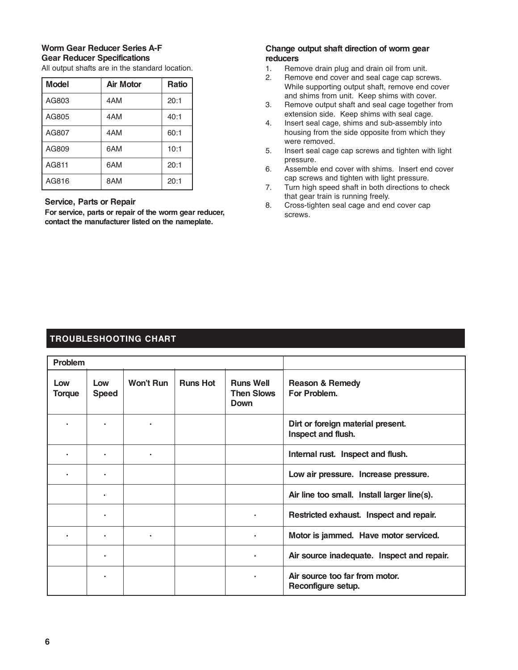## **Worm Gear Reducer Series A-F Gear Reducer Specifications**

All output shafts are in the standard location.

| <b>Model</b> | <b>Air Motor</b> | <b>Ratio</b> |
|--------------|------------------|--------------|
| AG803        | 4AM              | 20:1         |
| AG805        | 4AM              | 40:1         |
| AG807        | 4AM              | 60:1         |
| AG809        | 6AM              | 10:1         |
| AG811        | 6AM              | 20:1         |
| AG816        | 8AM              | 20:1         |

#### **Service, Parts or Repair**

**For service, parts or repair of the worm gear reducer, contact the manufacturer listed on the nameplate.**

#### **Change output shaft direction of worm gear reducers**

- 1. Remove drain plug and drain oil from unit.
- 2. Remove end cover and seal cage cap screws. While supporting output shaft, remove end cover and shims from unit. Keep shims with cover.
- 3. Remove output shaft and seal cage together from extension side. Keep shims with seal cage.
- 4. Insert seal cage, shims and sub-assembly into housing from the side opposite from which they were removed.
- 5. Insert seal cage cap screws and tighten with light pressure.
- 6. Assemble end cover with shims. Insert end cover cap screws and tighten with light pressure.
- 7. Turn high speed shaft in both directions to check that gear train is running freely.
- 8. Cross-tighten seal cage and end cover cap screws.

# **TROUBLESHOOTING CHART**

| Problem              |                     |           |                 |                                               |                                                         |
|----------------------|---------------------|-----------|-----------------|-----------------------------------------------|---------------------------------------------------------|
| Low<br><b>Torque</b> | Low<br><b>Speed</b> | Won't Run | <b>Runs Hot</b> | <b>Runs Well</b><br><b>Then Slows</b><br>Down | <b>Reason &amp; Remedy</b><br>For Problem.              |
|                      | $\bullet$           | $\bullet$ |                 |                                               | Dirt or foreign material present.<br>Inspect and flush. |
|                      | $\bullet$           | $\bullet$ |                 |                                               | Internal rust. Inspect and flush.                       |
|                      | $\bullet$           |           |                 |                                               | Low air pressure. Increase pressure.                    |
|                      | $\bullet$           |           |                 |                                               | Air line too small. Install larger line(s).             |
|                      | $\bullet$           |           |                 | $\bullet$                                     | Restricted exhaust. Inspect and repair.                 |
|                      | $\bullet$           | $\bullet$ |                 | $\bullet$                                     | Motor is jammed. Have motor serviced.                   |
|                      | $\bullet$           |           |                 |                                               | Air source inadequate. Inspect and repair.              |
|                      | $\bullet$           |           |                 | ٠                                             | Air source too far from motor.<br>Reconfigure setup.    |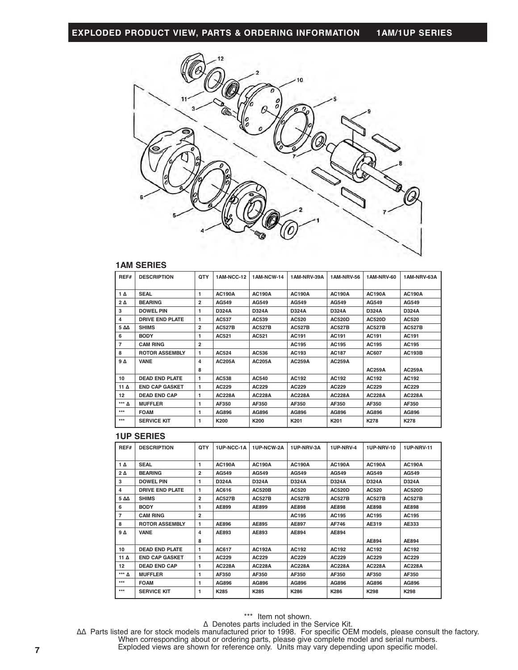# **EXPLODED PRODUCT VIEW, PARTS & ORDERING INFORMATION 1AM/1UP SERIES**



#### **1AM SERIES**

| REF#           | <b>DESCRIPTION</b>     | QTY            | 1AM-NCC-12    | <b>1AM-NCW-14</b> | 1AM-NRV-39A   | 1AM-NRV-56    | <b>1AM-NRV-60</b> | 1AM-NRV-63A   |
|----------------|------------------------|----------------|---------------|-------------------|---------------|---------------|-------------------|---------------|
| $1\Delta$      | <b>SEAL</b>            | 1              | <b>AC190A</b> | <b>AC190A</b>     | <b>AC190A</b> | <b>AC190A</b> | <b>AC190A</b>     | <b>AC190A</b> |
| $2\Delta$      | <b>BEARING</b>         | $\overline{2}$ | AG549         | AG549             | AG549         | AG549         | AG549             | AG549         |
| 3              | <b>DOWEL PIN</b>       | 1              | D324A         | D324A             | D324A         | D324A         | D324A             | D324A         |
| 4              | <b>DRIVE END PLATE</b> | 1              | AC537         | AC539             | AC520         | <b>AC520D</b> | <b>AC520D</b>     | AC520         |
| 5 ΔΔ           | <b>SHIMS</b>           | $\overline{2}$ | <b>AC527B</b> | <b>AC527B</b>     | <b>AC527B</b> | <b>AC527B</b> | <b>AC527B</b>     | <b>AC527B</b> |
| 6              | <b>BODY</b>            | 1              | AC521         | AC521             | AC191         | AC191         | AC191             | AC191         |
| $\overline{7}$ | <b>CAM RING</b>        | $\overline{2}$ |               |                   | AC195         | AC195         | AC195             | AC195         |
| 8              | <b>ROTOR ASSEMBLY</b>  | 1              | AC524         | AC536             | AC193         | AC187         | AC607             | <b>AC193B</b> |
| 9Δ             | <b>VANE</b>            | 4              | <b>AC205A</b> | <b>AC205A</b>     | <b>AC259A</b> | <b>AC259A</b> |                   |               |
|                |                        | 8              |               |                   |               |               | <b>AC259A</b>     | <b>AC259A</b> |
| 10             | <b>DEAD END PLATE</b>  | 1              | AC538         | AC540             | AC192         | AC192         | AC192             | AC192         |
| 11 A           | <b>END CAP GASKET</b>  | 1              | AC229         | AC229             | AC229         | AC229         | AC229             | AC229         |
| 12             | <b>DEAD END CAP</b>    | 1              | <b>AC228A</b> | <b>AC228A</b>     | <b>AC228A</b> | <b>AC228A</b> | <b>AC228A</b>     | <b>AC228A</b> |
| *** 4          | <b>MUFFLER</b>         | 1              | AF350         | AF350             | AF350         | AF350         | AF350             | AF350         |
| ***            | <b>FOAM</b>            | 1              | AG896         | AG896             | AG896         | AG896         | AG896             | AG896         |
| $***$          | <b>SERVICE KIT</b>     | 1              | K200          | K200              | K201          | K201          | K278              | K278          |

#### **1UP SERIES**

| REF#           | <b>DESCRIPTION</b>     | QTY            | 1UP-NCC-1A    | 1UP-NCW-2A    | 1UP-NRV-3A    | <b>1UP-NRV-4</b> | <b>1UP-NRV-10</b> | <b>1UP-NRV-11</b> |
|----------------|------------------------|----------------|---------------|---------------|---------------|------------------|-------------------|-------------------|
|                |                        |                |               |               |               |                  |                   |                   |
| 1Δ             | <b>SEAL</b>            | 1              | <b>AC190A</b> | <b>AC190A</b> | <b>AC190A</b> | <b>AC190A</b>    | <b>AC190A</b>     | <b>AC190A</b>     |
| $2\Delta$      | <b>BEARING</b>         | $\overline{2}$ | AG549         | AG549         | AG549         | AG549            | AG549             | AG549             |
| 3              | <b>DOWEL PIN</b>       | 1.             | D324A         | D324A         | D324A         | D324A            | D324A             | D324A             |
| 4              | <b>DRIVE END PLATE</b> | 1.             | AC616         | <b>AC520B</b> | AC520         | <b>AC520D</b>    | AC520             | <b>AC520D</b>     |
| 5 ΔΔ           | <b>SHIMS</b>           | $\overline{2}$ | <b>AC527B</b> | <b>AC527B</b> | <b>AC527B</b> | <b>AC527B</b>    | <b>AC527B</b>     | <b>AC527B</b>     |
| 6              | <b>BODY</b>            | 1              | AE899         | AE899         | AE898         | AE898            | <b>AE898</b>      | AE898             |
| $\overline{7}$ | <b>CAM RING</b>        | 2              |               |               | AC195         | AC195            | AC195             | AC195             |
| 8              | <b>ROTOR ASSEMBLY</b>  | 1.             | AE896         | AE895         | AE897         | AF746            | AE319             | AE333             |
| 9Δ             | <b>VANE</b>            | 4              | AE893         | AE893         | AE894         | AE894            |                   |                   |
|                |                        | 8              |               |               |               |                  | AE894             | AE894             |
| 10             | <b>DEAD END PLATE</b>  | 1.             | AC617         | <b>AC192A</b> | AC192         | AC192            | AC192             | AC192             |
| 11 A           | <b>END CAP GASKET</b>  | 1.             | AC229         | AC229         | AC229         | AC229            | AC229             | AC229             |
| 12             | <b>DEAD END CAP</b>    | 1.             | <b>AC228A</b> | <b>AC228A</b> | <b>AC228A</b> | <b>AC228A</b>    | <b>AC228A</b>     | <b>AC228A</b>     |
| *** $\Delta$   | <b>MUFFLER</b>         | 1              | AF350         | AF350         | AF350         | AF350            | AF350             | AF350             |
| ***            | <b>FOAM</b>            | 1              | AG896         | AG896         | AG896         | AG896            | AG896             | AG896             |
| $***$          | <b>SERVICE KIT</b>     | 1              | K285          | K285          | K286          | K286             | K298              | K298              |

#### \*\*\* Item not shown.

∆ Denotes parts included in the Service Kit.

∆∆ Parts listed are for stock models manufactured prior to 1998. For specific OEM models, please consult the factory. When corresponding about or ordering parts, please give complete model and serial numbers. Exploded views are shown for reference only. Units may vary depending upon specific model.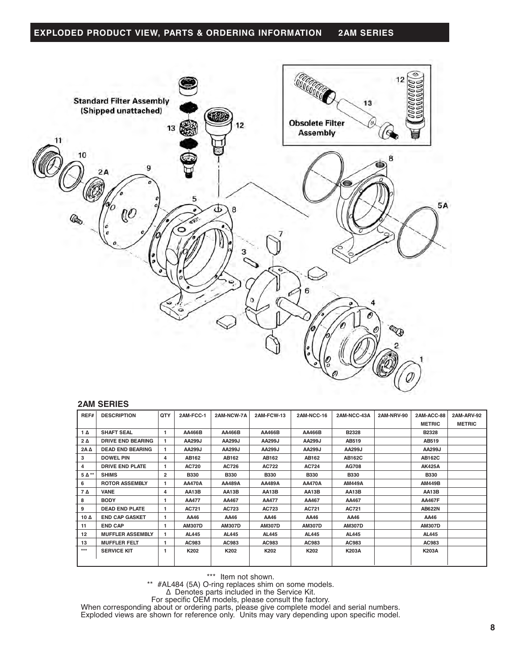# **EXPLODED PRODUCT VIEW, PARTS & ORDERING INFORMATION 2AM SERIES**



#### **2AM SERIES**

| REF#             | <b>DESCRIPTION</b>       | QTY            | 2AM-FCC-1     | 2AM-NCW-7A    | 2AM-FCW-13    | 2AM-NCC-16    | 2AM-NCC-43A   | <b>2AM-NRV-90</b> | 2AM-ACC-88    | <b>2AM-ARV-92</b> |
|------------------|--------------------------|----------------|---------------|---------------|---------------|---------------|---------------|-------------------|---------------|-------------------|
|                  |                          |                |               |               |               |               |               |                   | <b>METRIC</b> | <b>METRIC</b>     |
| 1Δ               | <b>SHAFT SEAL</b>        | 1              | AA466B        | AA466B        | <b>AA466B</b> | AA466B        | B2328         |                   | B2328         |                   |
| $2\Delta$        | <b>DRIVE END BEARING</b> |                | AA299J        | AA299J        | AA299J        | AA299J        | AB519         |                   | AB519         |                   |
| 2A A             | <b>DEAD END BEARING</b>  |                | AA299J        | AA299J        | AA299J        | AA299J        | AA299J        |                   | AA299J        |                   |
| 3                | <b>DOWEL PIN</b>         | 4              | AB162         | AB162         | AB162         | AB162         | <b>AB162C</b> |                   | <b>AB162C</b> |                   |
| 4                | <b>DRIVE END PLATE</b>   |                | AC720         | AC726         | AC722         | <b>AC724</b>  | AG708         |                   | <b>AK425A</b> |                   |
| 5Δ <sup>**</sup> | <b>SHIMS</b>             | $\overline{2}$ | <b>B330</b>   | <b>B330</b>   | <b>B330</b>   | <b>B330</b>   | <b>B330</b>   |                   | <b>B330</b>   |                   |
| 6                | <b>ROTOR ASSEMBLY</b>    |                | <b>AA470A</b> | AA489A        | AA489A        | <b>AA470A</b> | <b>AM449A</b> |                   | <b>AM449B</b> |                   |
| 7Δ               | <b>VANE</b>              | 4              | AA13B         | AA13B         | AA13B         | AA13B         | AA13B         |                   | AA13B         |                   |
| 8                | <b>BODY</b>              |                | AA477         | AA467         | AA477         | AA467         | AA467         |                   | <b>AA467F</b> |                   |
| 9                | <b>DEAD END PLATE</b>    |                | AC721         | AC723         | AC723         | AC721         | AC721         |                   | <b>AB622N</b> |                   |
| 10 Δ             | <b>END CAP GASKET</b>    |                | AA46          | AA46          | AA46          | AA46          | AA46          |                   | AA46          |                   |
| 11               | <b>END CAP</b>           |                | <b>AM307D</b> | <b>AM307D</b> | <b>AM307D</b> | <b>AM307D</b> | <b>AM307D</b> |                   | <b>AM307D</b> |                   |
| 12               | <b>MUFFLER ASSEMBLY</b>  |                | <b>AL445</b>  | <b>AL445</b>  | <b>AL445</b>  | <b>AL445</b>  | <b>AL445</b>  |                   | <b>AL445</b>  |                   |
| 13               | <b>MUFFLER FELT</b>      |                | AC983         | AC983         | AC983         | AC983         | AC983         |                   | AC983         |                   |
| $***$            | <b>SERVICE KIT</b>       |                | K202          | K202          | K202          | K202          | K203A         |                   | K203A         |                   |
|                  |                          |                |               |               |               |               |               |                   |               |                   |

\*\*\* Item not shown.

\*\* #AL484 (5A) O-ring replaces shim on some models.

∆ Denotes parts included in the Service Kit.

For specific OEM models, please consult the factory.

When corresponding about or ordering parts, please give complete model and serial numbers.

Exploded views are shown for reference only. Units may vary depending upon specific model.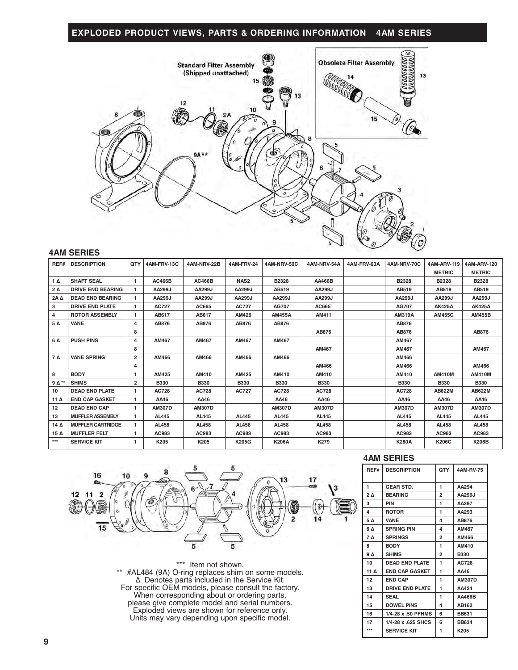## **EXPLODED PRODUCT VIEWS, PARTS & ORDERING INFORMATION 4AM SERIES**



#### **4AM SERIES**

| REF#         | <b>DESCRIPTION</b>       | QTY            | 4AM-FRV-13C   | 4AM-NRV-22B   | 4AM-FRV-24       | 4AM-NRV-50C   | 4AM-NRV-54A   | 4AM-FRV-63A | 4AM-NRV-70C   | 4AM-ARV-119   | 4AM-ARV-120   |
|--------------|--------------------------|----------------|---------------|---------------|------------------|---------------|---------------|-------------|---------------|---------------|---------------|
|              |                          |                |               |               |                  |               |               |             |               | <b>METRIC</b> | <b>METRIC</b> |
| $1\Delta$    | <b>SHAFT SEAL</b>        | 1              | <b>AC466B</b> | <b>AC466B</b> | NAS <sub>2</sub> | B2328         | AA466B        |             | B2328         | B2328         | B2328         |
| $2\Delta$    | <b>DRIVE END BEARING</b> |                | AA299J        | AA299J        | AA299J           | AB519         | AA299J        |             | AB519         | AB519         | AB519         |
| $2A\Delta$   | <b>DEAD END BEARING</b>  | 1              | AA299J        | AA299J        | AA299J           | AA299J        | AA299J        |             | AA299J        | AA299J        | AA299J        |
| 3            | <b>DRIVE END PLATE</b>   | 1              | <b>AC727</b>  | AC665         | <b>AC727</b>     | AG707         | AC665         |             | <b>AG707</b>  | <b>AK425A</b> | <b>AK425A</b> |
| 4            | <b>ROTOR ASSEMBLY</b>    | 1              | AB617         | AB617         | AM426            | <b>AM455A</b> | AM411         |             | <b>AM319A</b> | <b>AM455C</b> | <b>AM455B</b> |
| 5Δ           | <b>VANE</b>              | 4              | AB876         | AB876         | AB876            | AB876         |               |             | AB876         |               |               |
|              |                          | 8              |               |               |                  |               | AB876         |             | AB876         |               | AB876         |
| 6 A          | <b>PUSH PINS</b>         | 4              | AM467         | AM467         | AM467            | AM467         |               |             | AM467         |               |               |
|              |                          | 8              |               |               |                  |               | AM467         |             | AM467         |               | AM467         |
| <b>7Δ</b>    | <b>VANE SPRING</b>       | $\overline{2}$ | AM466         | AM466         | AM466            | AM466         |               |             | AM466         |               |               |
|              |                          | 4              |               |               |                  |               | AM466         |             | AM466         |               | AM466         |
| 8            | <b>BODY</b>              | 1              | AM425         | AM410         | AM425            | AM410         | AM410         |             | AM410         | <b>AM410M</b> | <b>AM410M</b> |
| $9\Delta$ ** | <b>SHIMS</b>             | $\overline{2}$ | <b>B330</b>   | <b>B330</b>   | <b>B330</b>      | <b>B330</b>   | <b>B330</b>   |             | <b>B330</b>   | <b>B330</b>   | <b>B330</b>   |
| 10           | <b>DEAD END PLATE</b>    | 1              | AC728         | <b>AC728</b>  | <b>AC727</b>     | <b>AC728</b>  | <b>AC728</b>  |             | <b>AC728</b>  | <b>AB622M</b> | AB622M        |
| 11 $\Delta$  | <b>END CAP GASKET</b>    | 1              | AA46          | AA46          |                  | AA46          | AA46          |             | AA46          | AA46          | AA46          |
| 12           | <b>DEAD END CAP</b>      | 1              | <b>AM307D</b> | <b>AM307D</b> |                  | <b>AM307D</b> | <b>AM307D</b> |             | <b>AM307D</b> | <b>AM307D</b> | <b>AM307D</b> |
| 13           | <b>MUFFLER ASSEMBLY</b>  | 1              | AL445         | <b>AL445</b>  | <b>AL445</b>     | <b>AL445</b>  | AL445         |             | <b>AL445</b>  | <b>AL445</b>  | AL445         |
| 14 $\Delta$  | <b>MUFFLER CARTRIDGE</b> | 1              | AL458         | AL458         | <b>AL458</b>     | AL458         | AL458         |             | <b>AL458</b>  | AL458         | AL458         |
| 15 $\Delta$  | <b>MUFFLER FELT</b>      | 1              | AC983         | AC983         | AC983            | AC983         | AC983         |             | AC983         | AC983         | AC983         |
| $***$        | <b>SERVICE KIT</b>       | 1              | K205          | K205          | <b>K205G</b>     | <b>K206A</b>  | K279          |             | <b>K280A</b>  | <b>K206C</b>  | <b>K206B</b>  |



\*\*\* Item not shown. \*\* #AL484 (9A) O-ring replaces shim on some models. ∆ Denotes parts included in the Service Kit. For specific OEM models, please consult the factory. When corresponding about or ordering parts, please give complete model and serial numbers. Exploded views are shown for reference only. Units may vary depending upon specific model.

#### **4AM SERIES**

| REF#      | <b>DESCRIPTION</b>     | QTY            | 4AM-RV-75    |
|-----------|------------------------|----------------|--------------|
| 1         | <b>GEAR STD.</b>       | 1              | AA294        |
| $2\Delta$ | <b>BEARING</b>         | $\overline{2}$ | AA299J       |
| 3         | <b>PIN</b>             | 1              | AA297        |
| 4         | <b>ROTOR</b>           | 1              | AA293        |
| 5Δ        | <b>VANE</b>            | 4              | AB876        |
| 6Δ        | <b>SPRING PIN</b>      | 4              | AM467        |
| 7Δ        | <b>SPRINGS</b>         | 2              | AM466        |
| 8         | <b>BODY</b>            | 1              | AM410        |
| 9Δ        | <b>SHIMS</b>           | 2              | <b>B330</b>  |
| 10        | <b>DEAD END PLATE</b>  | 1              | <b>AC728</b> |
| 11 A      | <b>END CAP GASKET</b>  | 1              | AA46         |
| 12        | <b>END CAP</b>         | 1              | AM307D       |
| 13        | <b>DRIVE END PLATE</b> | 1              | AA424        |
| 14        | <b>SEAL</b>            | 1              | AA466B       |
| 15        | <b>DOWEL PINS</b>      | 4              | AB162        |
| 16        | 1/4-28 x .50 PFHMS     | 6              | <b>BB631</b> |
| 17        | 1/4-28 x .625 SHCS     | 6              | <b>BB634</b> |
| ***       | <b>SERVICE KIT</b>     | 1              | K205         |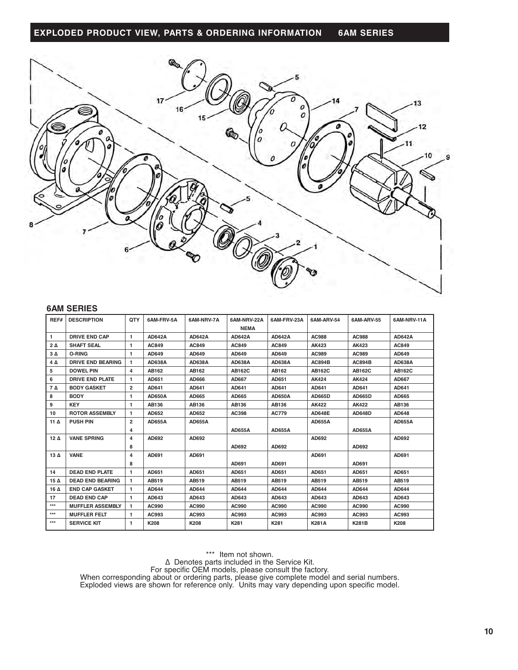# **EXPLODED PRODUCT VIEW, PARTS & ORDERING INFORMATION 6AM SERIES**



#### **6AM SERIES**

| REF#         | <b>DESCRIPTION</b>       | QTY            | 6AM-FRV-5A    | 6AM-NRV-7A    | 6AM-NRV-22A   | 6AM-FRV-23A   | 6AM-ARV-54    | 6AM-ARV-55    | 6AM-NRV-11A   |
|--------------|--------------------------|----------------|---------------|---------------|---------------|---------------|---------------|---------------|---------------|
|              |                          |                |               |               | <b>NEMA</b>   |               |               |               |               |
| $\mathbf{1}$ | <b>DRIVE END CAP</b>     | 1              | <b>AD642A</b> | <b>AD642A</b> | <b>AD642A</b> | AD642A        | AC988         | AC988         | <b>AD642A</b> |
| $2\Delta$    | <b>SHAFT SEAL</b>        | 1              | AC849         | AC849         | AC849         | AC849         | AK423         | AK423         | <b>AC849</b>  |
| 3Δ           | O-RING                   | 1              | AD649         | AD649         | AD649         | AD649         | <b>AC989</b>  | AC989         | AD649         |
| $4\Delta$    | <b>DRIVE END BEARING</b> | 1              | AD638A        | <b>AD638A</b> | AD638A        | <b>AD638A</b> | <b>AC894B</b> | <b>AC894B</b> | <b>AD638A</b> |
| 5            | <b>DOWEL PIN</b>         | 4              | AB162         | AB162         | <b>AB162C</b> | AB162         | <b>AB162C</b> | <b>AB162C</b> | <b>AB162C</b> |
| 6            | <b>DRIVE END PLATE</b>   | 1              | AD651         | AD666         | AD667         | AD651         | <b>AK424</b>  | AK424         | AD667         |
| 7Δ           | <b>BODY GASKET</b>       | 2              | AD641         | AD641         | AD641         | AD641         | AD641         | AD641         | AD641         |
| 8            | <b>BODY</b>              | 1              | <b>AD650A</b> | AD665         | AD665         | <b>AD650A</b> | AD665D        | <b>AD665D</b> | AD665         |
| 9            | <b>KEY</b>               | 1              | AB136         | AB136         | AB136         | AB136         | <b>AK422</b>  | AK422         | AB136         |
| 10           | <b>ROTOR ASSEMBLY</b>    | 1              | AD652         | AD652         | AC398         | <b>AC779</b>  | <b>AD648E</b> | <b>AD648D</b> | AD648         |
| 11 A         | <b>PUSH PIN</b>          | $\overline{2}$ | <b>AD655A</b> | <b>AD655A</b> |               |               | <b>AD655A</b> |               | <b>AD655A</b> |
|              |                          | 4              |               |               | <b>AD655A</b> | <b>AD655A</b> |               | <b>AD655A</b> |               |
| 12 $\Delta$  | <b>VANE SPRING</b>       | 4              | AD692         | AD692         |               |               | AD692         |               | AD692         |
|              |                          | 8              |               |               | AD692         | AD692         |               | AD692         |               |
| 13 $\Delta$  | <b>VANE</b>              | 4              | AD691         | AD691         |               |               | AD691         |               | AD691         |
|              |                          | 8              |               |               | AD691         | AD691         |               | AD691         |               |
| 14           | <b>DEAD END PLATE</b>    | 1              | AD651         | AD651         | AD651         | AD651         | AD651         | AD651         | AD651         |
| 15 Δ         | <b>DEAD END BEARING</b>  | 1              | AB519         | AB519         | AB519         | AB519         | AB519         | AB519         | AB519         |
| 16 $\Delta$  | <b>END CAP GASKET</b>    | 1              | AD644         | AD644         | AD644         | AD644         | AD644         | AD644         | AD644         |
| 17           | <b>DEAD END CAP</b>      | 1              | AD643         | AD643         | AD643         | AD643         | AD643         | AD643         | AD643         |
| $***$        | <b>MUFFLER ASSEMBLY</b>  | 1              | AC990         | AC990         | AC990         | AC990         | AC990         | AC990         | AC990         |
| $***$        | <b>MUFFLER FELT</b>      | 1              | AC993         | AC993         | AC993         | AC993         | AC993         | AC993         | AC993         |
| $***$        | <b>SERVICE KIT</b>       | 1              | K208          | K208          | K281          | K281          | <b>K281A</b>  | <b>K281B</b>  | K208          |

\*\*\* Item not shown.

∆ Denotes parts included in the Service Kit.

For specific OEM models, please consult the factory.

When corresponding about or ordering parts, please give complete model and serial numbers. Exploded views are shown for reference only. Units may vary depending upon specific model.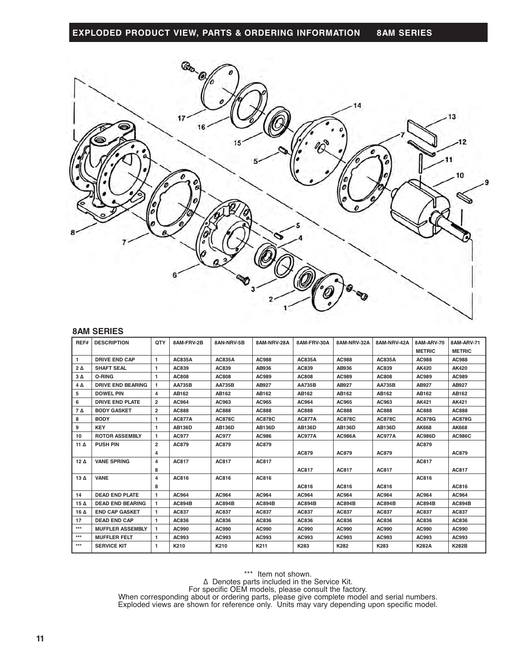# **EXPLODED PRODUCT VIEW, PARTS & ORDERING INFORMATION 8AM SERIES**



|                | <b>BAM SERIES</b>        |                |               |               |               |               |               |               |               |               |
|----------------|--------------------------|----------------|---------------|---------------|---------------|---------------|---------------|---------------|---------------|---------------|
| REF#           | <b>DESCRIPTION</b>       | <b>OTY</b>     | 8AM-FRV-2B    | 8AN-NRV-5B    | 8AM-NRV-28A   | 8AM-FRV-30A   | 8AM-NRV-32A   | 8AM-NRV-42A   | 8AM-ARV-70    | 8AM-ARV-71    |
|                |                          |                |               |               |               |               |               |               | <b>METRIC</b> | <b>METRIC</b> |
| 1              | <b>DRIVE END CAP</b>     | $\mathbf{1}$   | AC835A        | <b>AC835A</b> | AC988         | <b>AC835A</b> | AC988         | AC835A        | AC988         | AC988         |
| $2\Delta$      | <b>SHAFT SEAL</b>        | $\mathbf{1}$   | AC839         | AC839         | AB936         | AC839         | AB936         | AC839         | <b>AK420</b>  | <b>AK420</b>  |
| 3Δ             | <b>O-RING</b>            | -1             | AC808         | AC808         | AC989         | AC808         | AC989         | AC808         | AC989         | AC989         |
| $4\Delta$      | <b>DRIVE END BEARING</b> | -1             | <b>AA735B</b> | AA735B        | AB927         | <b>AA735B</b> | AB927         | <b>AA735B</b> | AB927         | AB927         |
| 5              | <b>DOWEL PIN</b>         | 4              | AB162         | AB162         | AB162         | AB162         | AB162         | AB162         | AB162         | AB162         |
| 6              | <b>DRIVE END PLATE</b>   | $\overline{2}$ | AC964         | AC963         | AC965         | AC964         | AC965         | AC963         | AK421         | AK421         |
| 7 <sub>Δ</sub> | <b>BODY GASKET</b>       | $\overline{2}$ | AC888         | AC888         | AC888         | AC888         | AC888         | AC888         | AC888         | AC888         |
| 8              | <b>BODY</b>              | $\mathbf{1}$   | <b>AC877A</b> | <b>AC878C</b> | <b>AC878C</b> | <b>AC877A</b> | <b>AC878C</b> | <b>AC878C</b> | <b>AC878G</b> | AC878G        |
| 9              | <b>KEY</b>               | -1             | <b>AB136D</b> | <b>AB136D</b> | <b>AB136D</b> | <b>AB136D</b> | AB136D        | <b>AB136D</b> | <b>AK668</b>  | <b>AK668</b>  |
| 10             | <b>ROTOR ASSEMBLY</b>    | -1             | <b>AC977</b>  | AC977         | AC986         | <b>AC977A</b> | <b>AC986A</b> | <b>AC977A</b> | <b>AC986D</b> | <b>AC986C</b> |
| 11 $\Delta$    | <b>PUSH PIN</b>          | $\overline{2}$ | AC879         | AC879         | AC879         |               |               |               | AC879         |               |
|                |                          | 4              |               |               |               | AC879         | AC879         | AC879         |               | AC879         |
| 12 $\Delta$    | <b>VANE SPRING</b>       | 4              | AC817         | AC817         | <b>AC817</b>  |               |               |               | AC817         |               |
|                |                          | 8              |               |               |               | AC817         | AC817         | AC817         |               | AC817         |
| 13 $\Delta$    | <b>VANE</b>              | 4              | AC816         | AC816         | AC816         |               |               |               | AC816         |               |
|                |                          | 8              |               |               |               | AC816         | AC816         | AC816         |               | AC816         |
| 14             | <b>DEAD END PLATE</b>    | -1             | AC964         | AC964         | AC964         | AC964         | AC964         | AC964         | AC964         | AC964         |
| 15 $\Delta$    | <b>DEAD END BEARING</b>  | -1             | <b>AC894B</b> | <b>AC894B</b> | <b>AC894B</b> | <b>AC894B</b> | <b>AC894B</b> | <b>AC894B</b> | <b>AC894B</b> | <b>AC894B</b> |
| 16 $\Delta$    | <b>END CAP GASKET</b>    | -1             | AC837         | AC837         | AC837         | AC837         | AC837         | AC837         | AC837         | AC837         |
| 17             | <b>DEAD END CAP</b>      | -1             | AC836         | AC836         | AC836         | AC836         | AC836         | AC836         | AC836         | AC836         |
| ***            | <b>MUFFLER ASSEMBLY</b>  | $\mathbf{1}$   | AC990         | AC990         | AC990         | AC990         | AC990         | AC990         | AC990         | AC990         |
| $***$          | <b>MUFFLER FELT</b>      | $\mathbf{1}$   | AC993         | AC993         | AC993         | AC993         | AC993         | AC993         | AC993         | AC993         |
| $***$          | <b>SERVICE KIT</b>       | -1             | K210          | K210          | K211          | K283          | K282          | K283          | <b>K282A</b>  | <b>K282B</b>  |

\*\*\* Item not shown.

∆ Denotes parts included in the Service Kit.

For specific OEM models, please consult the factory.

When corresponding about or ordering parts, please give complete model and serial numbers. Exploded views are shown for reference only. Units may vary depending upon specific model.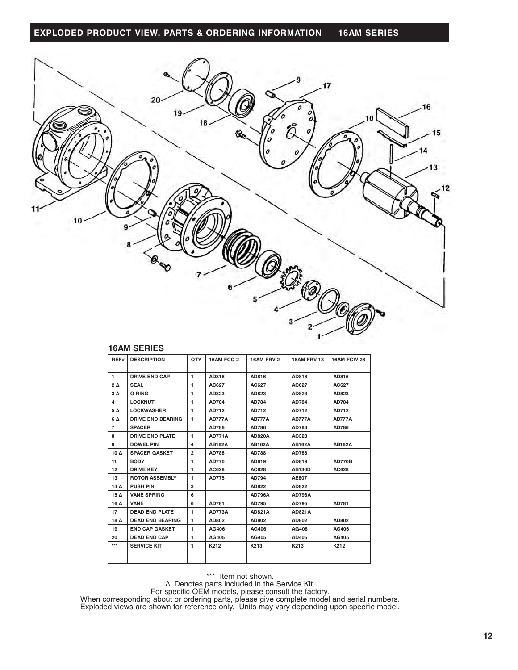# **EXPLODED PRODUCT VIEW, PARTS & ORDERING INFORMATION 16AM SERIES**



| REF#            | <b>DESCRIPTION</b>       | <b>QTY</b>     | 16AM-FCC-2    | <b>16AM-FRV-2</b> | 16AM-FRV-13   | <b>16AM-FCW-28</b> |
|-----------------|--------------------------|----------------|---------------|-------------------|---------------|--------------------|
| $\mathbf{1}$    | <b>DRIVE END CAP</b>     | 1              | AD816         | AD816             | AD816         | AD816              |
| $2\Delta$       | <b>SEAL</b>              | 1              | AC627         | AC627             | AC627         | AC627              |
| 3Δ              | O-RING                   | 1              | AD823         | AD823             | AD823         | AD823              |
| 4               | <b>LOCKNUT</b>           | 1              | AD784         | AD784             | AD784         | AD784              |
| 5Δ              | <b>LOCKWASHER</b>        | 1              | AD712         | AD712             | AD712         | AD712              |
| 6Δ              | <b>DRIVE END BEARING</b> | 1              | <b>AB777A</b> | <b>AB777A</b>     | <b>AB777A</b> | <b>AB777A</b>      |
| $\overline{7}$  | <b>SPACER</b>            |                | AD786         | AD786             | AD786         | AD786              |
| 8               | <b>DRIVE END PLATE</b>   | 1              | <b>AD771A</b> | <b>AD820A</b>     | AC323         |                    |
| 9               | <b>DOWEL PIN</b>         | 4              | <b>AB162A</b> | <b>AB162A</b>     | <b>AB162A</b> | <b>AB162A</b>      |
| 10 $\Delta$     | <b>SPACER GASKET</b>     | $\overline{2}$ | AD788         | AD788             | <b>AD788</b>  |                    |
| 11              | <b>BODY</b>              | 1              | AD770         | AD819             | AD819         | <b>AD770B</b>      |
| 12 <sup>2</sup> | <b>DRIVE KEY</b>         | 1              | AC628         | AC628             | <b>AB136D</b> | AC628              |
| 13              | <b>ROTOR ASSEMBLY</b>    | 1              | AD775         | AD794             | <b>AE807</b>  |                    |
| 14 $\Delta$     | <b>PUSH PIN</b>          | 3              |               | AD822             | AD822         |                    |
| 15 Δ            | <b>VANE SPRING</b>       | 6              |               | <b>AD796A</b>     | AD796A        |                    |
| 16 Δ            | <b>VANE</b>              | 6              | AD781         | AD795             | AD795         | AD781              |
| 17              | <b>DEAD END PLATE</b>    | 1              | AD773A        | <b>AD821A</b>     | <b>AD821A</b> |                    |
| 18 A            | <b>DEAD END BEARING</b>  | 1              | AD802         | AD802             | AD802         | AD802              |
| 19              | <b>END CAP GASKET</b>    | 1              | AG406         | AG406             | AG406         | AG406              |
| 20              | <b>DEAD END CAP</b>      | 1              | AG405         | AG405             | AD405         | AG405              |
| ***             | <b>SERVICE KIT</b>       | 1              | K212          | K213              | K213          | K212               |
|                 |                          |                |               |                   |               |                    |

\*\*\* Item not shown.

∆ Denotes parts included in the Service Kit.

For specific OEM models, please consult the factory.

When corresponding about or ordering parts, please give complete model and serial numbers. Exploded views are shown for reference only. Units may vary depending upon specific model.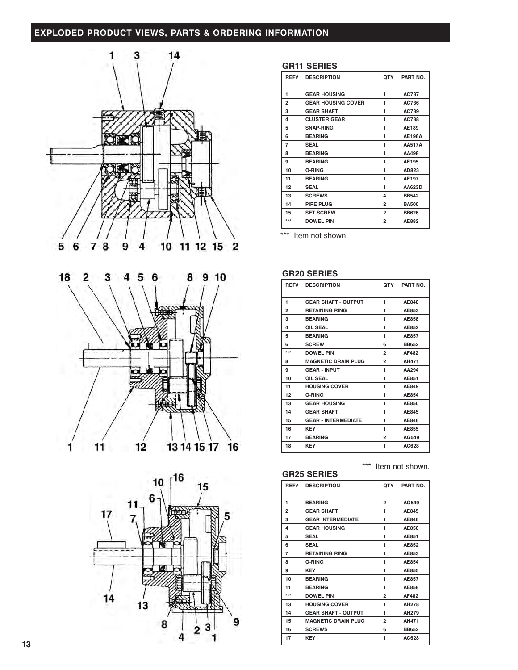# **EXPLODED PRODUCT VIEWS, PARTS & ORDERING INFORMATION**







## **GR11 SERIES**

| REF#           | <b>DESCRIPTION</b>        | QTY            | PART NO.      |
|----------------|---------------------------|----------------|---------------|
| 1              | <b>GEAR HOUSING</b>       | 1              | AC737         |
| $\overline{2}$ | <b>GEAR HOUSING COVER</b> | 1              | AC736         |
| 3              | <b>GEAR SHAFT</b>         | 1              | AC739         |
| 4              | <b>CLUSTER GEAR</b>       | 1              | AC738         |
| 5              | <b>SNAP-RING</b>          | 1              | AE189         |
| 6              | <b>BEARING</b>            | 1              | <b>AE196A</b> |
| $\overline{7}$ | <b>SEAL</b>               | 1              | <b>AA517A</b> |
| 8              | <b>BEARING</b>            | 1              | AA498         |
| 9              | <b>BEARING</b>            | 1              | AE195         |
| 10             | O-RING                    | 1              | AD823         |
| 11             | <b>BEARING</b>            | 1              | AE197         |
| 12             | <b>SEAL</b>               | 1              | AA623D        |
| 13             | <b>SCREWS</b>             | 4              | <b>BB542</b>  |
| 14             | PIPE PLUG                 | 2              | <b>BA500</b>  |
| 15             | <b>SET SCREW</b>          | $\overline{2}$ | <b>BB626</b>  |
| $***$          | <b>DOWEL PIN</b>          | $\overline{2}$ | AE882         |

\*\*\* Item not shown.

| <b>GR20 SERIES</b> |                            |                |              |  |
|--------------------|----------------------------|----------------|--------------|--|
| RFF#               | <b>DESCRIPTION</b>         | <b>QTY</b>     | PART NO.     |  |
| 1                  | <b>GEAR SHAFT - OUTPUT</b> | 1              | AE848        |  |
| $\overline{2}$     | <b>RETAINING RING</b>      | 1              | AE853        |  |
| 3                  | <b>BEARING</b>             | 1              | AE858        |  |
| 4                  | <b>OIL SEAL</b>            | 1              | AE852        |  |
| 5                  | <b>BEARING</b>             | 1              | AE857        |  |
| 6                  | <b>SCREW</b>               | 6              | <b>BB652</b> |  |
| $***$              | <b>DOWEL PIN</b>           | $\overline{2}$ | AF482        |  |
| 8                  | <b>MAGNETIC DRAIN PLUG</b> | $\overline{2}$ | AH471        |  |
| 9                  | <b>GFAR-INPUT</b>          | 1              | AA294        |  |
| 10                 | <b>OIL SEAL</b>            | 1              | AE851        |  |
| 11                 | <b>HOUSING COVER</b>       | 1              | AE849        |  |
| 12                 | <b>O-RING</b>              | 1              | AE854        |  |
| 13                 | <b>GEAR HOUSING</b>        | 1              | AE850        |  |
| 14                 | <b>GEAR SHAFT</b>          | 1              | AE845        |  |
| 15                 | <b>GEAR - INTERMEDIATE</b> | 1              | AE846        |  |
| 16                 | <b>KEY</b>                 | 1              | AE855        |  |
| 17                 | <b>BEARING</b>             | $\overline{2}$ | AG549        |  |
| 18                 | <b>KFY</b>                 | 1              | AC628        |  |

**GR25 SERIES**

\*\*\* Item not shown.

| REF#                    | <b>DESCRIPTION</b>         | QTY            | PART NO.     |
|-------------------------|----------------------------|----------------|--------------|
| 1                       | <b>BEARING</b>             | $\overline{2}$ | AG549        |
| $\overline{2}$          | <b>GEAR SHAFT</b>          | 1              | AE845        |
| 3                       | <b>GEAR INTERMEDIATE</b>   | 1              | AE846        |
| $\overline{\mathbf{4}}$ | <b>GEAR HOUSING</b>        | 1              | AE850        |
| 5                       | <b>SEAL</b>                | 1              | AE851        |
| 6                       | <b>SEAL</b>                | 1              | AE852        |
| 7                       | <b>RETAINING RING</b>      | 1              | AE853        |
| 8                       | <b>O-RING</b>              | 1              | AE854        |
| 9                       | <b>KFY</b>                 | 1              | AE855        |
| 10                      | <b>BEARING</b>             | 1              | AE857        |
| 11                      | <b>BEARING</b>             | 1              | AE858        |
| $***$                   | <b>DOWEL PIN</b>           | $\overline{2}$ | AF482        |
| 13                      | <b>HOUSING COVER</b>       | 1              | AH278        |
| 14                      | <b>GEAR SHAFT - OUTPUT</b> | 1              | AH279        |
| 15                      | <b>MAGNETIC DRAIN PLUG</b> | $\overline{2}$ | AH471        |
| 16                      | <b>SCREWS</b>              | 6              | <b>BB652</b> |
| 17                      | <b>KEY</b>                 | 1              | AC628        |
|                         |                            |                |              |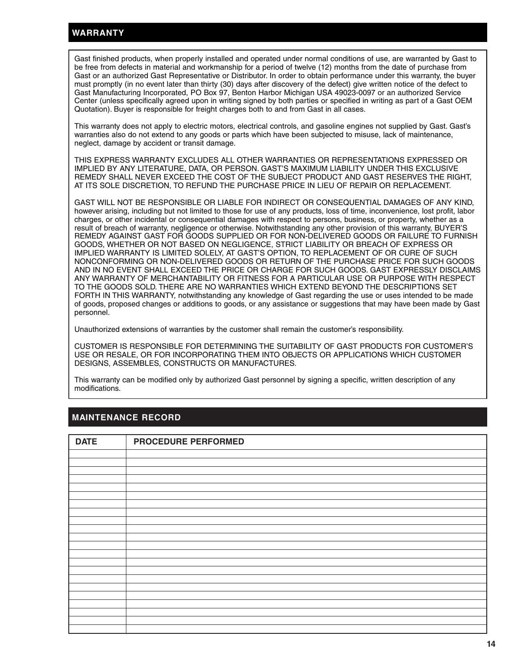# **WARRANTY**

Gast finished products, when properly installed and operated under normal conditions of use, are warranted by Gast to be free from defects in material and workmanship for a period of twelve (12) months from the date of purchase from Gast or an authorized Gast Representative or Distributor. In order to obtain performance under this warranty, the buyer must promptly (in no event later than thirty (30) days after discovery of the defect) give written notice of the defect to Gast Manufacturing Incorporated, PO Box 97, Benton Harbor Michigan USA 49023-0097 or an authorized Service Center (unless specifically agreed upon in writing signed by both parties or specified in writing as part of a Gast OEM Quotation). Buyer is responsible for freight charges both to and from Gast in all cases.

This warranty does not apply to electric motors, electrical controls, and gasoline engines not supplied by Gast. Gast's warranties also do not extend to any goods or parts which have been subjected to misuse, lack of maintenance, neglect, damage by accident or transit damage.

THIS EXPRESS WARRANTY EXCLUDES ALL OTHER WARRANTIES OR REPRESENTATIONS EXPRESSED OR IMPLIED BY ANY LITERATURE, DATA, OR PERSON. GAST'S MAXIMUM LIABILITY UNDER THIS EXCLUSIVE REMEDY SHALL NEVER EXCEED THE COST OF THE SUBJECT PRODUCT AND GAST RESERVES THE RIGHT, AT ITS SOLE DISCRETION, TO REFUND THE PURCHASE PRICE IN LIEU OF REPAIR OR REPLACEMENT.

GAST WILL NOT BE RESPONSIBLE OR LIABLE FOR INDIRECT OR CONSEQUENTIAL DAMAGES OF ANY KIND, however arising, including but not limited to those for use of any products, loss of time, inconvenience, lost profit, labor charges, or other incidental or consequential damages with respect to persons, business, or property, whether as a result of breach of warranty, negligence or otherwise. Notwithstanding any other provision of this warranty, BUYER'S REMEDY AGAINST GAST FOR GOODS SUPPLIED OR FOR NON-DELIVERED GOODS OR FAILURE TO FURNISH GOODS, WHETHER OR NOT BASED ON NEGLIGENCE, STRICT LIABILITY OR BREACH OF EXPRESS OR IMPLIED WARRANTY IS LIMITED SOLELY, AT GAST'S OPTION, TO REPLACEMENT OF OR CURE OF SUCH NONCONFORMING OR NON-DELIVERED GOODS OR RETURN OF THE PURCHASE PRICE FOR SUCH GOODS AND IN NO EVENT SHALL EXCEED THE PRICE OR CHARGE FOR SUCH GOODS. GAST EXPRESSLY DISCLAIMS ANY WARRANTY OF MERCHANTABILITY OR FITNESS FOR A PARTICULAR USE OR PURPOSE WITH RESPECT TO THE GOODS SOLD. THERE ARE NO WARRANTIES WHICH EXTEND BEYOND THE DESCRIPTIONS SET FORTH IN THIS WARRANTY, notwithstanding any knowledge of Gast regarding the use or uses intended to be made of goods, proposed changes or additions to goods, or any assistance or suggestions that may have been made by Gast personnel.

Unauthorized extensions of warranties by the customer shall remain the customer's responsibility.

CUSTOMER IS RESPONSIBLE FOR DETERMINING THE SUITABILITY OF GAST PRODUCTS FOR CUSTOMER'S USE OR RESALE, OR FOR INCORPORATING THEM INTO OBJECTS OR APPLICATIONS WHICH CUSTOMER DESIGNS, ASSEMBLES, CONSTRUCTS OR MANUFACTURES.

This warranty can be modified only by authorized Gast personnel by signing a specific, written description of any modifications.

# **MAINTENANCE RECORD**

| <b>DATE</b> | PROCEDURE PERFORMED |
|-------------|---------------------|
|             |                     |
|             |                     |
|             |                     |
|             |                     |
|             |                     |
|             |                     |
|             |                     |
|             |                     |
|             |                     |
|             |                     |
|             |                     |
|             |                     |
|             |                     |
|             |                     |
|             |                     |
|             |                     |
|             |                     |
|             |                     |
|             |                     |
|             |                     |
|             |                     |